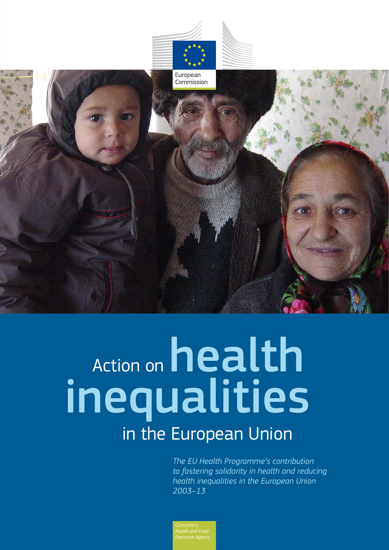

# Action on health inequalities in the European Union

*The EU Health Programme's contribution to fostering solidarity in health and reducing health inequalities in the European Union 2003–13*

*Health and Food Executive Agency*